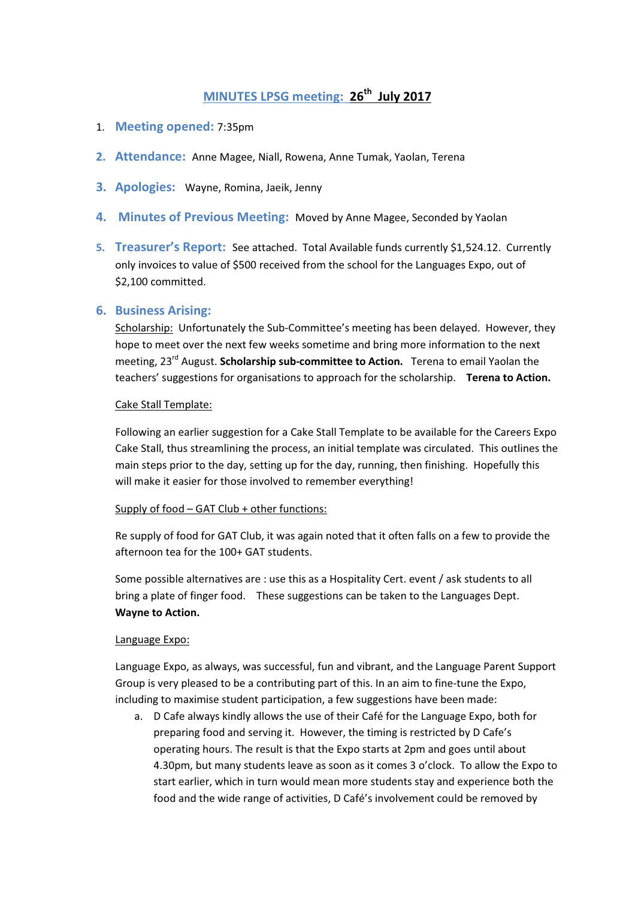# MINUTES LPSG meeting: 26<sup>th</sup> July 2017

- 1. Meeting opened: 7:35pm
- 2. Attendance: Anne Magee, Niall, Rowena, Anne Tumak, Yaolan, Terena
- 3. Apologies: Wayne, Romina, Jaeik, Jenny
- 4. Minutes of Previous Meeting: Moved by Anne Magee, Seconded by Yaolan
- 5. Treasurer's Report: See attached. Total Available funds currently \$1,524.12. Currently only invoices to value of \$500 received from the school for the Languages Expo, out of \$2,100 committed.

# 6. Business Arising:

Scholarship: Unfortunately the Sub-Committee's meeting has been delayed. However, they hope to meet over the next few weeks sometime and bring more information to the next meeting, 23<sup>rd</sup> August. Scholarship sub-committee to Action. Terena to email Yaolan the teachers' suggestions for organisations to approach for the scholarship. Terena to Action.

#### Cake Stall Template:

Following an earlier suggestion for a Cake Stall Template to be available for the Careers Expo Cake Stall, thus streamlining the process, an initial template was circulated. This outlines the main steps prior to the day, setting up for the day, running, then finishing. Hopefully this will make it easier for those involved to remember everything!

### Supply of food – GAT Club + other functions:

Re supply of food for GAT Club, it was again noted that it often falls on a few to provide the afternoon tea for the 100+ GAT students.

Some possible alternatives are : use this as a Hospitality Cert. event / ask students to all bring a plate of finger food. These suggestions can be taken to the Languages Dept. Wayne to Action.

### Language Expo:

Language Expo, as always, was successful, fun and vibrant, and the Language Parent Support Group is very pleased to be a contributing part of this. In an aim to fine-tune the Expo, including to maximise student participation, a few suggestions have been made:

a. D Cafe always kindly allows the use of their Café for the Language Expo, both for preparing food and serving it. However, the timing is restricted by D Cafe's operating hours. The result is that the Expo starts at 2pm and goes until about 4.30pm, but many students leave as soon as it comes 3 o'clock. To allow the Expo to start earlier, which in turn would mean more students stay and experience both the food and the wide range of activities, D Café's involvement could be removed by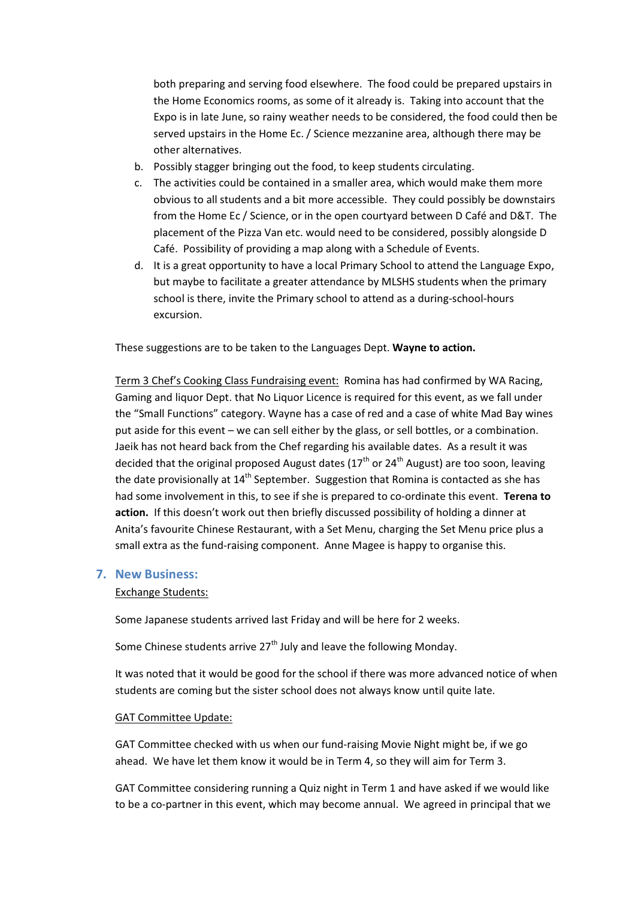both preparing and serving food elsewhere. The food could be prepared upstairs in the Home Economics rooms, as some of it already is. Taking into account that the Expo is in late June, so rainy weather needs to be considered, the food could then be served upstairs in the Home Ec. / Science mezzanine area, although there may be other alternatives.

- b. Possibly stagger bringing out the food, to keep students circulating.
- c. The activities could be contained in a smaller area, which would make them more obvious to all students and a bit more accessible. They could possibly be downstairs from the Home Ec / Science, or in the open courtyard between D Café and D&T. The placement of the Pizza Van etc. would need to be considered, possibly alongside D Café. Possibility of providing a map along with a Schedule of Events.
- d. It is a great opportunity to have a local Primary School to attend the Language Expo, but maybe to facilitate a greater attendance by MLSHS students when the primary school is there, invite the Primary school to attend as a during-school-hours excursion.

These suggestions are to be taken to the Languages Dept. Wayne to action.

Term 3 Chef's Cooking Class Fundraising event: Romina has had confirmed by WA Racing, Gaming and liquor Dept. that No Liquor Licence is required for this event, as we fall under the "Small Functions" category. Wayne has a case of red and a case of white Mad Bay wines put aside for this event – we can sell either by the glass, or sell bottles, or a combination. Jaeik has not heard back from the Chef regarding his available dates. As a result it was decided that the original proposed August dates  $(17<sup>th</sup>$  or 24<sup>th</sup> August) are too soon, leaving the date provisionally at  $14<sup>th</sup>$  September. Suggestion that Romina is contacted as she has had some involvement in this, to see if she is prepared to co-ordinate this event. Terena to action. If this doesn't work out then briefly discussed possibility of holding a dinner at Anita's favourite Chinese Restaurant, with a Set Menu, charging the Set Menu price plus a small extra as the fund-raising component. Anne Magee is happy to organise this.

### 7. New Business:

#### Exchange Students:

Some Japanese students arrived last Friday and will be here for 2 weeks.

Some Chinese students arrive  $27<sup>th</sup>$  July and leave the following Monday.

It was noted that it would be good for the school if there was more advanced notice of when students are coming but the sister school does not always know until quite late.

#### GAT Committee Update:

GAT Committee checked with us when our fund-raising Movie Night might be, if we go ahead. We have let them know it would be in Term 4, so they will aim for Term 3.

GAT Committee considering running a Quiz night in Term 1 and have asked if we would like to be a co-partner in this event, which may become annual. We agreed in principal that we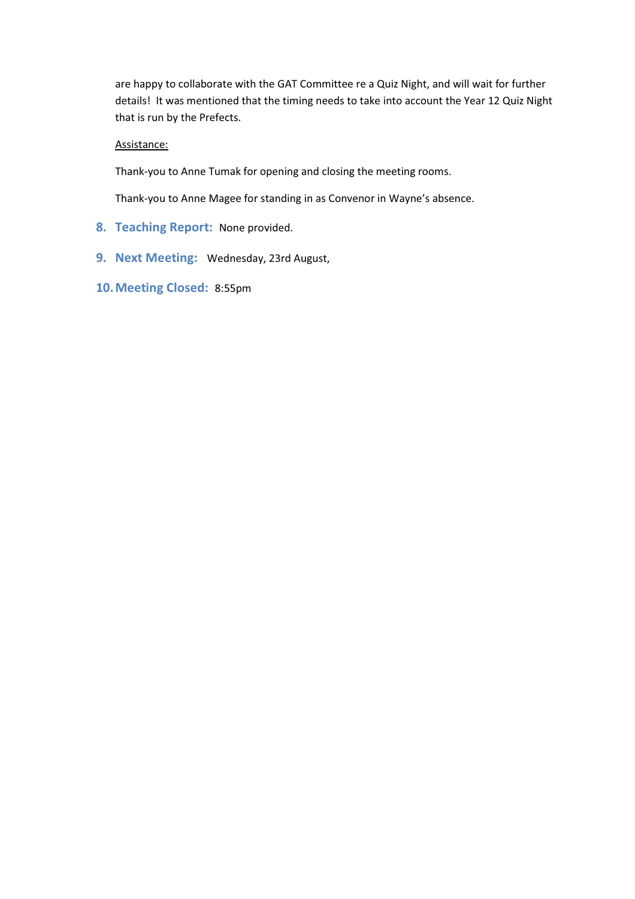are happy to collaborate with the GAT Committee re a Quiz Night, and will wait for further details! It was mentioned that the timing needs to take into account the Year 12 Quiz Night that is run by the Prefects.

## Assistance:

Thank-you to Anne Tumak for opening and closing the meeting rooms.

Thank-you to Anne Magee for standing in as Convenor in Wayne's absence.

- 8. Teaching Report: None provided.
- 9. Next Meeting: Wednesday, 23rd August,
- 10.Meeting Closed: 8:55pm